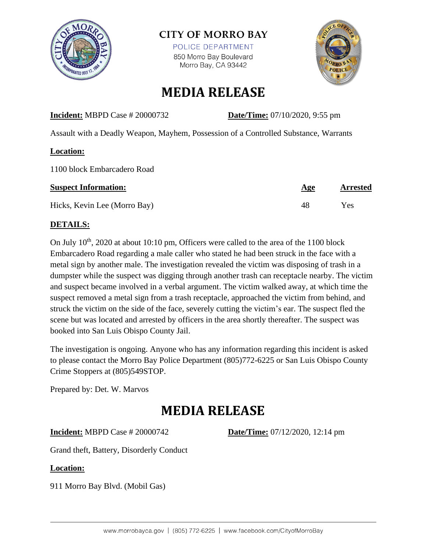

### **CITY OF MORRO BAY**

POLICE DEPARTMENT 850 Morro Bay Boulevard Morro Bay, CA 93442



## **MEDIA RELEASE**

#### **Incident:** MBPD Case # 20000732 **Date/Time:** 07/10/2020, 9:55 pm

Assault with a Deadly Weapon, Mayhem, Possession of a Controlled Substance, Warrants

#### **Location:**

1100 block Embarcadero Road

| <b>Suspect Information:</b>  | <b>Age</b> | <b>Arrested</b> |
|------------------------------|------------|-----------------|
| Hicks, Kevin Lee (Morro Bay) | 48         | Yes             |

#### **DETAILS:**

On July  $10<sup>th</sup>$ , 2020 at about 10:10 pm, Officers were called to the area of the 1100 block Embarcadero Road regarding a male caller who stated he had been struck in the face with a metal sign by another male. The investigation revealed the victim was disposing of trash in a dumpster while the suspect was digging through another trash can receptacle nearby. The victim and suspect became involved in a verbal argument. The victim walked away, at which time the suspect removed a metal sign from a trash receptacle, approached the victim from behind, and struck the victim on the side of the face, severely cutting the victim's ear. The suspect fled the scene but was located and arrested by officers in the area shortly thereafter. The suspect was booked into San Luis Obispo County Jail.

The investigation is ongoing. Anyone who has any information regarding this incident is asked to please contact the Morro Bay Police Department (805)772-6225 or San Luis Obispo County Crime Stoppers at (805)549STOP.

Prepared by: Det. W. Marvos

# **MEDIA RELEASE**

**Incident:** MBPD Case # 20000742 **Date/Time:** 07/12/2020, 12:14 pm

Grand theft, Battery, Disorderly Conduct

#### **Location:**

911 Morro Bay Blvd. (Mobil Gas)